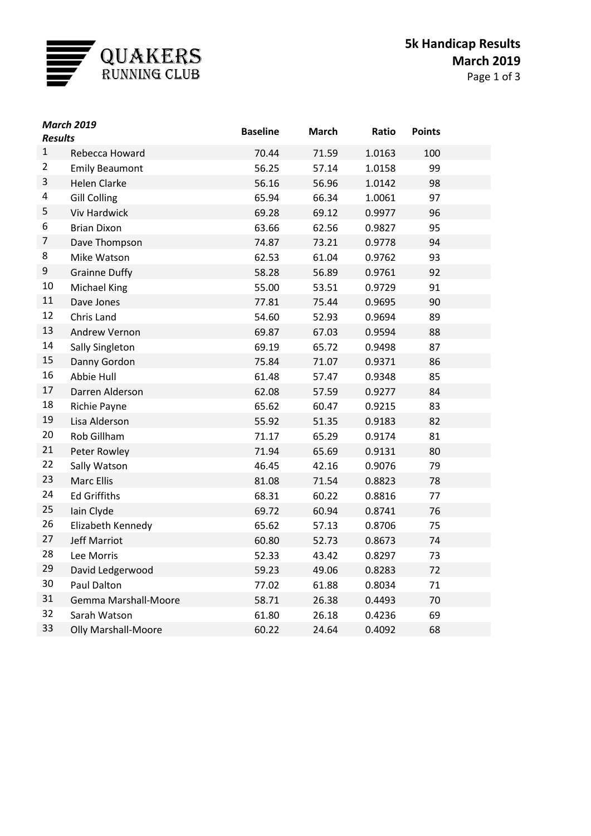

| <b>March 2019</b><br><b>Results</b> |                            | <b>Baseline</b> | <b>March</b> | Ratio  | <b>Points</b> |  |
|-------------------------------------|----------------------------|-----------------|--------------|--------|---------------|--|
| $\mathbf{1}$                        | Rebecca Howard             | 70.44           | 71.59        | 1.0163 | 100           |  |
| $\overline{2}$                      | <b>Emily Beaumont</b>      | 56.25           | 57.14        | 1.0158 | 99            |  |
| 3                                   | <b>Helen Clarke</b>        | 56.16           | 56.96        | 1.0142 | 98            |  |
| 4                                   | <b>Gill Colling</b>        | 65.94           | 66.34        | 1.0061 | 97            |  |
| 5                                   | <b>Viv Hardwick</b>        | 69.28           | 69.12        | 0.9977 | 96            |  |
| 6                                   | <b>Brian Dixon</b>         | 63.66           | 62.56        | 0.9827 | 95            |  |
| 7                                   | Dave Thompson              | 74.87           | 73.21        | 0.9778 | 94            |  |
| 8                                   | Mike Watson                | 62.53           | 61.04        | 0.9762 | 93            |  |
| 9                                   | <b>Grainne Duffy</b>       | 58.28           | 56.89        | 0.9761 | 92            |  |
| 10                                  | Michael King               | 55.00           | 53.51        | 0.9729 | 91            |  |
| 11                                  | Dave Jones                 | 77.81           | 75.44        | 0.9695 | 90            |  |
| 12                                  | Chris Land                 | 54.60           | 52.93        | 0.9694 | 89            |  |
| 13                                  | Andrew Vernon              | 69.87           | 67.03        | 0.9594 | 88            |  |
| 14                                  | Sally Singleton            | 69.19           | 65.72        | 0.9498 | 87            |  |
| 15                                  | Danny Gordon               | 75.84           | 71.07        | 0.9371 | 86            |  |
| 16                                  | Abbie Hull                 | 61.48           | 57.47        | 0.9348 | 85            |  |
| 17                                  | Darren Alderson            | 62.08           | 57.59        | 0.9277 | 84            |  |
| 18                                  | Richie Payne               | 65.62           | 60.47        | 0.9215 | 83            |  |
| 19                                  | Lisa Alderson              | 55.92           | 51.35        | 0.9183 | 82            |  |
| 20                                  | Rob Gillham                | 71.17           | 65.29        | 0.9174 | 81            |  |
| 21                                  | Peter Rowley               | 71.94           | 65.69        | 0.9131 | 80            |  |
| 22                                  | Sally Watson               | 46.45           | 42.16        | 0.9076 | 79            |  |
| 23                                  | <b>Marc Ellis</b>          | 81.08           | 71.54        | 0.8823 | 78            |  |
| 24                                  | <b>Ed Griffiths</b>        | 68.31           | 60.22        | 0.8816 | 77            |  |
| 25                                  | Iain Clyde                 | 69.72           | 60.94        | 0.8741 | 76            |  |
| 26                                  | Elizabeth Kennedy          | 65.62           | 57.13        | 0.8706 | 75            |  |
| 27                                  | <b>Jeff Marriot</b>        | 60.80           | 52.73        | 0.8673 | 74            |  |
| 28                                  | Lee Morris                 | 52.33           | 43.42        | 0.8297 | 73            |  |
| 29                                  | David Ledgerwood           | 59.23           | 49.06        | 0.8283 | 72            |  |
| 30                                  | Paul Dalton                | 77.02           | 61.88        | 0.8034 | 71            |  |
| 31                                  | Gemma Marshall-Moore       | 58.71           | 26.38        | 0.4493 | 70            |  |
| 32                                  | Sarah Watson               | 61.80           | 26.18        | 0.4236 | 69            |  |
| 33                                  | <b>Olly Marshall-Moore</b> | 60.22           | 24.64        | 0.4092 | 68            |  |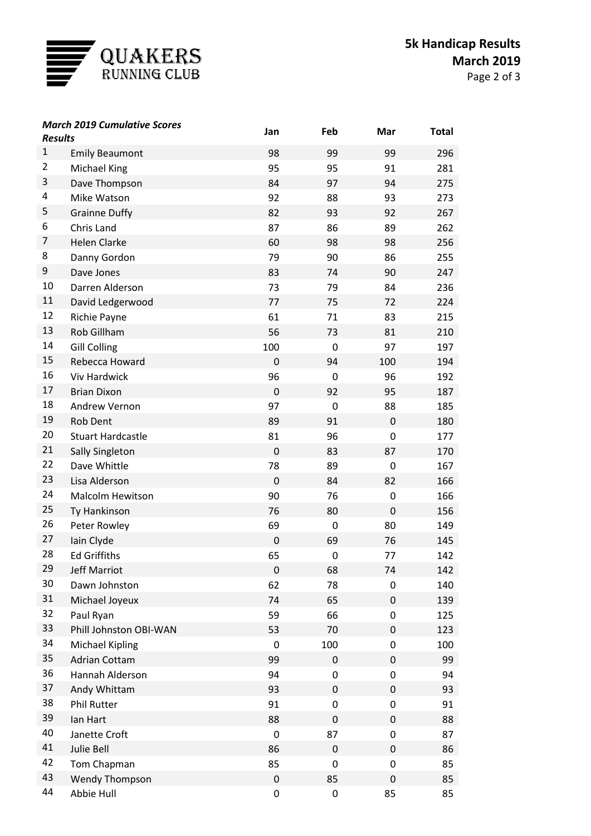

| <b>March 2019 Cumulative Scores</b><br><b>Results</b> |                          | Jan         | Feb         | Mar              | <b>Total</b> |
|-------------------------------------------------------|--------------------------|-------------|-------------|------------------|--------------|
| $\mathbf{1}$                                          | <b>Emily Beaumont</b>    | 98          | 99          | 99               | 296          |
| $\overline{2}$                                        | Michael King             | 95          | 95          | 91               | 281          |
| 3                                                     | Dave Thompson            | 84          | 97          | 94               | 275          |
| 4                                                     | Mike Watson              | 92          | 88          | 93               | 273          |
| 5                                                     | <b>Grainne Duffy</b>     | 82          | 93          | 92               | 267          |
| 6                                                     | Chris Land               | 87          | 86          | 89               | 262          |
| 7                                                     | <b>Helen Clarke</b>      | 60          | 98          | 98               | 256          |
| 8                                                     | Danny Gordon             | 79          | 90          | 86               | 255          |
| 9                                                     | Dave Jones               | 83          | 74          | 90               | 247          |
| 10                                                    | Darren Alderson          | 73          | 79          | 84               | 236          |
| 11                                                    | David Ledgerwood         | 77          | 75          | 72               | 224          |
| 12                                                    | Richie Payne             | 61          | 71          | 83               | 215          |
| 13                                                    | Rob Gillham              | 56          | 73          | 81               | 210          |
| 14                                                    | <b>Gill Colling</b>      | 100         | $\mathbf 0$ | 97               | 197          |
| 15                                                    | Rebecca Howard           | $\mathbf 0$ | 94          | 100              | 194          |
| 16                                                    | <b>Viv Hardwick</b>      | 96          | 0           | 96               | 192          |
| 17                                                    | <b>Brian Dixon</b>       | $\mathbf 0$ | 92          | 95               | 187          |
| 18                                                    | <b>Andrew Vernon</b>     | 97          | $\mathbf 0$ | 88               | 185          |
| 19                                                    | <b>Rob Dent</b>          | 89          | 91          | 0                | 180          |
| 20                                                    | <b>Stuart Hardcastle</b> | 81          | 96          | 0                | 177          |
| 21                                                    | <b>Sally Singleton</b>   | $\mathbf 0$ | 83          | 87               | 170          |
| 22                                                    | Dave Whittle             | 78          | 89          | $\mathbf 0$      | 167          |
| 23                                                    | Lisa Alderson            | $\mathbf 0$ | 84          | 82               | 166          |
| 24                                                    | <b>Malcolm Hewitson</b>  | 90          | 76          | $\boldsymbol{0}$ | 166          |
| 25                                                    | Ty Hankinson             | 76          | 80          | $\mathbf 0$      | 156          |
| 26                                                    | Peter Rowley             | 69          | 0           | 80               | 149          |
| 27                                                    | Iain Clyde               | $\mathbf 0$ | 69          | 76               | 145          |
| 28                                                    | <b>Ed Griffiths</b>      | 65          | 0           | 77               | 142          |
| 29                                                    | <b>Jeff Marriot</b>      | $\pmb{0}$   | 68          | 74               | 142          |
| 30                                                    | Dawn Johnston            | 62          | 78          | 0                | 140          |
| 31                                                    | Michael Joyeux           | 74          | 65          | 0                | 139          |
| 32                                                    | Paul Ryan                | 59          | 66          | 0                | 125          |
| 33                                                    | Phill Johnston OBI-WAN   | 53          | 70          | 0                | 123          |
| 34                                                    | <b>Michael Kipling</b>   | $\mathbf 0$ | 100         | 0                | 100          |
| 35                                                    | <b>Adrian Cottam</b>     | 99          | 0           | 0                | 99           |
| 36                                                    | Hannah Alderson          | 94          | 0           | 0                | 94           |
| 37                                                    | Andy Whittam             | 93          | 0           | 0                | 93           |
| 38                                                    | <b>Phil Rutter</b>       | 91          | 0           | 0                | 91           |
| 39                                                    | lan Hart                 | 88          | 0           | 0                | 88           |
| 40                                                    | Janette Croft            | $\mathbf 0$ | 87          | 0                | 87           |
| 41                                                    | Julie Bell               | 86          | 0           | 0                | 86           |
| 42                                                    | Tom Chapman              | 85          | 0           | 0                | 85           |
| 43                                                    | Wendy Thompson           | $\pmb{0}$   | 85          | 0                | 85           |
| 44                                                    | Abbie Hull               | $\pmb{0}$   | $\pmb{0}$   | 85               | 85           |